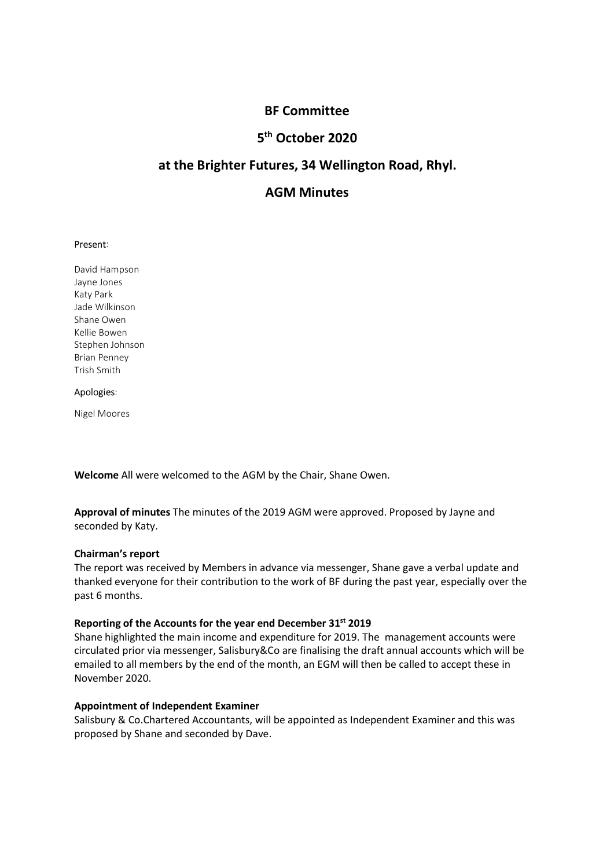# 5<sup>th</sup> October 2020

# BF Committee<br><sup>th</sup> October 2020<br>tures, 34 Wellington Road, Rhyl. BF Committee<br><sup>th</sup> October 2020<br>tures, 34 Wellington Road, Rhyl.<br>AGM Minutes BF Committee<br>5<sup>th</sup> October 2020<br>at the Brighter Futures, 34 Wellington Road, Rhyl.<br>AGM Minutes BF Committee<br><sup>th</sup> October 2020<br>tures, 34 Wellington Road, Rhyl.<br>AGM Minutes

**BF Committee<br>
5<sup>th</sup> October 2020**<br> **at the Brighter Futures, 34 Wellington Road, RI**<br>
AGM Minutes<br>
Present:<br>
David Hampson<br>
Agent David Hampson<br>
Jayne Jones<br>
Jade Wilkinson<br>
Jade Wilkinson<br>
Jade Wilkinson<br>
Shane Owen<br>
Ste **BF Committee<br>5<sup>th</sup> October 2020**<br>**at the Brighter Futures, 34 Wellington Road, RI**<br>AGM Minutes<br>Present:<br>David Hampson<br>Jayne Jones<br>Katy Park<br>May Park<br>Shane Owen<br>Shane Owen<br>Shane Owen<br>Rellie Bowen **BF Committee<br>
5<sup>th</sup> October 2020<br>
at the Brighter Futures, 34 Wellington Road, F<br>
AGM Minutes<br>
Present:<br>
Park Hade Wilkinson<br>
Jayre Jones<br>
Katy Park<br>
Kate Wilkinson<br>
Stephen Johnson<br>
Stephen Johnson<br>
Stephen Johnson<br>
Step BF Committee<br>5<sup>th</sup> October 2020<br>at the Brighter Futures, 34 Wellington Road, R<br>AGM Minutes<br>Present:<br>David Hampson<br>Jayne Jones<br>Jade Wilkinson<br>Shane Owen<br>Rellie Bowen<br>State Wilkinson<br>Shane Owen<br>Rellie Bowen<br>Brian Penney<br>Tri BF Committee**<br> **S<sup>th</sup> October 2020**<br> **at the Brighter Futures, 34 Wellington Road, RM**<br> **AGM Minutes**<br>
Present:<br>
David Hampson<br>
Jayne Jones<br>
Katy Park<br>
Jade Willington<br>
Shane Owen<br>
Kellie Bowen<br>
Kellie Bowen<br>
Rellie Bowen **BF Committee<br>5<sup>th</sup> October 2020**<br>**at the Brighter Futures, 34 Wellington Road, R**<br>**AGM Minutes**<br>Present:<br>Present:<br>David Hampson<br>Katy Park<br>Katy Park<br>Jade Wilkinson<br>Stephen Johnson<br>Rélle Bowen<br>Rélle Bowen<br>Stephen Johnson<br>Tr **BF Committee<br>5<sup>th</sup> October 2020**<br>**at the Brighter Futures, 34 Wellington Road, Rhy**<br>**AGM Minutes**<br>Present:<br>David Hampson<br>Jayne Jones<br>Aisty Park<br>Jade Wilkinson<br>Shane Owen<br>Stephen Johnson<br>Stephen Johnson<br>Rian Penney<br>Trish S **BF Committee<br>5<sup>th</sup> October 2020<br>at the Brighter Futures, 34 Wellington Road, R<br>AGM Minutes<br>Present:<br>David Hampson<br>Jayne Jones<br>Katy Park<br>Mayel Mons<br>Shane Owen<br>Stille Bowen<br>Bilian Penney<br>Trish Smith<br>Apologies:<br>Trish Smith<br>A Britain School at the Brighter Futures, 34 Wellington Road, R**<br> **AGM Minutes**<br>
Present:<br>
Present:<br>
David Hampson<br>
David Hampson<br>
AGM Minutes<br>
Present:<br>
David Hampson<br>
Stape Down<br>
Stape Deven<br>
Stape Per Johnson<br>
Stape Pres **at the Brighter Futures, 34 Wellington Road, R**<br> **AGM Minutes**<br>
Present:<br>
David Hampson<br>
Jayne Jones<br>
Katy Park<br>
Katy Park<br>
Stapen Johnson<br>
Shane Owen<br>
Edlie Bowen<br>
Brian Penney<br>
Trish Smith<br>
Apologies:<br>
Nigel Moores<br>
Wel

Present:<br>
ally relate<br>
Shane Coven<br>
Shane Owen<br>
Katy Park<br>
Katile Bowen<br>
Kelle Bowen<br>
Kelle Bowen<br>
Kilgel Moores<br>
Nigel Moores<br>
Nigel Moores<br>
Nigel Moores<br>
Nigel Moores<br>
Approval of minutes The minutes of the 2019 AGM were

David Hampson<br>
Jayne Jones<br>
Katy Park<br>
Katy Park<br>
Shane Owen<br>
Stelle Bowen<br>
Stelle Bowen<br>
Brian Penney<br>
Melcome All were welcomed to the AGM by the Chair, Shane Owen.<br>
Approval of minutes The minutes of the 2019 AGM were a David Hampson<br>David Hampson<br>Jayne Jones<br>Staty Park<br>Shane Owen<br>Shane Owen<br>Shane Owen<br>Shane Owen<br>Brah Phonson<br>Brah Phonson<br>Brah Phonson<br>Brah Phoney<br>Shane Phones<br>Shane My Katy.<br>**Approval of minutes** The minutes of the 2019 AG May rank<br>Explicit Bowen<br>Staphen Dohnson<br>Stephen Dohnson<br>Trish Smith<br>Apologies:<br>Welcome All were welcomed to the AGM by the Chair, Shane Owen.<br>Approval of minutes The minutes of the 2019 AGM were approved. Proposed by Jayr<br> <sub>Issue</sub> vinansan<br>The report<br>Stephen Johnson<br>Trish Smith<br>Apologies:<br>The Smith<br>Apologies:<br>Nigel Moores<br>Trish Smith<br>Apologies:<br>Nigel Moores<br>Trish Smith<br>Apoproval of minutes The minutes of the 2019 AGM were approved. Proposed stell Bowen<br>Stelle Bowen<br>Brian Penney<br>Prish Smith<br>Apologies:<br>Welcome All were welcomed to the AGM by the Chair, Shane Owen.<br><br>**Approval of minutes The minutes of the 2019 AGM were approved. Proposed by Jayne and<br>seconded by** 

Stephen Johnson<br>
Brian Penney<br>
Trish Smith<br>
Apologies:<br>
Nigel Moores<br>
Welcome All were welcomed to the AGM by the Chair, Shane Owen.<br>
Approval of minutes The minutes of the 2019 AGM were approved. Proposed b<br>
seconded by K Trish Smith<br>Apologies:<br>Welcome All were welcomed to the AGM by the Chair, Shane Owen.<br> **Approval of minutes The minutes of the 2019 AGM were approved. Proposed by Jayne and<br>
seconded by Katy.<br>
Chairman's report<br>
Chairman's** Apologies:<br>
Nigel Moores<br>
Welcome All were welcomed to the AGM by the Chair, Shane Owen.<br>
Approval of minutes The minutes of the 2019 AGM were approved. Proposed by Jayne and<br>
seconded by Katy.<br>
Chairman's report<br>
The repo provides:<br>Welcome All were welcomed to the AGM by the Chair, Shane Owen.<br>Approval of minutes The minutes of the 2019 AGM were approved. Proposed by Jayne and<br>Chairman's report<br>Chairman's received by Members in advance via Nigel Moores<br> **Approval of minutes** The minutes of the 2019 AGM were approved. Proposed by layne and<br>
seconded by Katy.<br> **Chairman's report**<br> **Chairman's report**<br> **Chairman's report**<br> **Chairman's report**<br> **Chairman's repor** Welcome All were welcomed to the AGM by the Chair, Shane Owen.<br>Approval of minutes The minutes of the 2019 AGM were approved. Proposed by Jay<br>seconded by Katy.<br>Chairman's report<br>The report was received by Members in advanc Welcome All were welcomed to the AGM by the Chair, Shane Owen.<br>
Approval of minutes The minutes of the 2019 AGM were approved. Proposed by Jayne and<br>
seconded by Katy.<br>
Chairman's report<br>
The report was received by Members Welcome All were welcomed to the AGM by the Chair, Shane Owen.<br>Approval of minutes The minutes of the 2019 AGM were approved. Proposed by Jayne and<br>seconded by Katy.<br>The report was received by Members in advance via messen Welcome All were welcomed to the AGM by the Chalf, Shane Owen.<br>
Approval of minutes The minutes of the 2019 AGM were approved. Proposed by Jayne and<br>
seconded by Katy.<br> **Chairman's report**<br>
The report was received by Membe